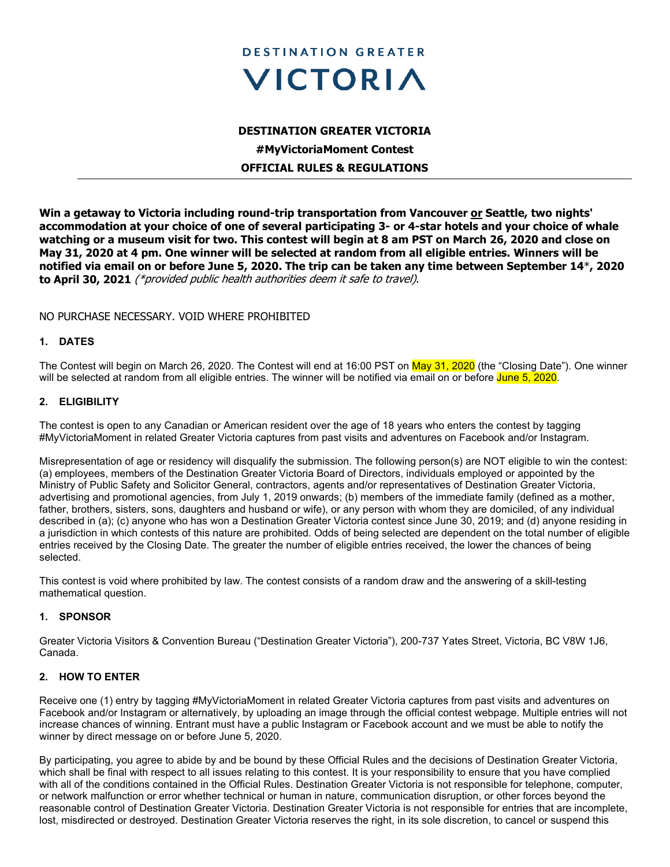

# **DESTINATION GREATER VICTORIA #MyVictoriaMoment Contest OFFICIAL RULES & REGULATIONS**

**Win a getaway to Victoria including round-trip transportation from Vancouver or Seattle, two nights' accommodation at your choice of one of several participating 3- or 4-star hotels and your choice of whale watching or a museum visit for two. This contest will begin at 8 am PST on March 26, 2020 and close on May 31, 2020 at 4 pm. One winner will be selected at random from all eligible entries. Winners will be notified via email on or before June 5, 2020. The trip can be taken any time between September 14**\***, 2020 to April 30, 2021** (\*provided public health authorities deem it safe to travel).

# NO PURCHASE NECESSARY. VOID WHERE PROHIBITED

### **1. DATES**

The Contest will begin on March 26, 2020. The Contest will end at 16:00 PST on May 31, 2020 (the "Closing Date"). One winner will be selected at random from all eligible entries. The winner will be notified via email on or before June 5, 2020.

### **2. ELIGIBILITY**

The contest is open to any Canadian or American resident over the age of 18 years who enters the contest by tagging #MyVictoriaMoment in related Greater Victoria captures from past visits and adventures on Facebook and/or Instagram.

Misrepresentation of age or residency will disqualify the submission. The following person(s) are NOT eligible to win the contest: (a) employees, members of the Destination Greater Victoria Board of Directors, individuals employed or appointed by the Ministry of Public Safety and Solicitor General, contractors, agents and/or representatives of Destination Greater Victoria, advertising and promotional agencies, from July 1, 2019 onwards; (b) members of the immediate family (defined as a mother, father, brothers, sisters, sons, daughters and husband or wife), or any person with whom they are domiciled, of any individual described in (a); (c) anyone who has won a Destination Greater Victoria contest since June 30, 2019; and (d) anyone residing in a jurisdiction in which contests of this nature are prohibited. Odds of being selected are dependent on the total number of eligible entries received by the Closing Date. The greater the number of eligible entries received, the lower the chances of being selected.

This contest is void where prohibited by law. The contest consists of a random draw and the answering of a skill-testing mathematical question.

### **1. SPONSOR**

Greater Victoria Visitors & Convention Bureau ("Destination Greater Victoria"), 200-737 Yates Street, Victoria, BC V8W 1J6, Canada.

### **2. HOW TO ENTER**

Receive one (1) entry by tagging #MyVictoriaMoment in related Greater Victoria captures from past visits and adventures on Facebook and/or Instagram or alternatively, by uploading an image through the official contest webpage. Multiple entries will not increase chances of winning. Entrant must have a public Instagram or Facebook account and we must be able to notify the winner by direct message on or before June 5, 2020.

By participating, you agree to abide by and be bound by these Official Rules and the decisions of Destination Greater Victoria, which shall be final with respect to all issues relating to this contest. It is your responsibility to ensure that you have complied with all of the conditions contained in the Official Rules. Destination Greater Victoria is not responsible for telephone, computer, or network malfunction or error whether technical or human in nature, communication disruption, or other forces beyond the reasonable control of Destination Greater Victoria. Destination Greater Victoria is not responsible for entries that are incomplete, lost, misdirected or destroyed. Destination Greater Victoria reserves the right, in its sole discretion, to cancel or suspend this